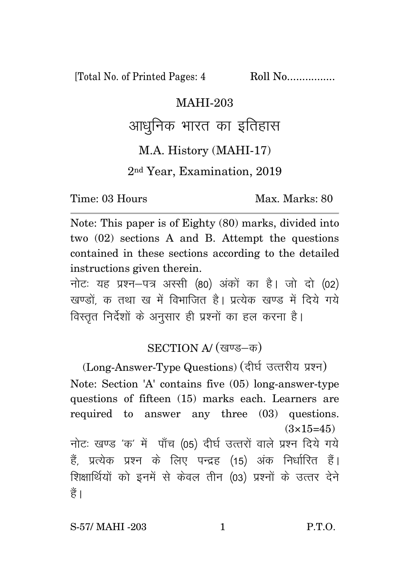[Total No. of Printed Pages: 4 Roll No.................

#### MAHI-203

## आधनिक भारत का इतिहास

#### M.A. History (MAHI-17)

#### 2nd Year, Examination, 2019

Time: 03 Hours Max. Marks: 80

Note: This paper is of Eighty (80) marks, divided into two (02) sections A and B. Attempt the questions contained in these sections according to the detailed instructions given therein.

नोटः यह प्रश्न-पत्र अस्सी (80) अंकों का है। जो दो (02) खण्डों. क तथा ख में विभाजित है। प्रत्येक खण्ड में दिये गये विस्तृत निर्देशों के अनुसार ही प्रश्नों का हल करना है।

### SECTION A/ (खण्ड-क)

(Long-Answer-Type Questions) (दीर्घ उत्तरीय प्रश्न) Note: Section 'A' contains five (05) long-answer-type questions of fifteen (15) marks each. Learners are required to answer any three (03) questions.  $(3\times15=45)$ नोटः खण्ड 'क' में पाँच (05) दीर्घ उत्तरों वाले प्रश्न दिये गये हैं, प्रत्येक प्रश्न के लिए पन्द्रह (15) अंक निर्धारित हैं। शिक्षार्थियों को इनमें से केवल तीन (03) प्रश्नों के उत्तर देने

हैं ।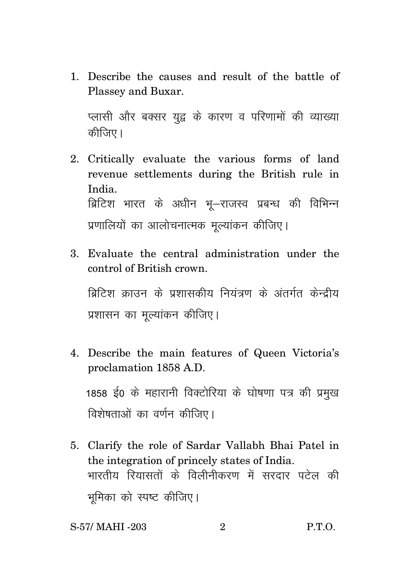1. Describe the causes and result of the battle of Plassey and Buxar.

प्लासी और बक्सर युद्व के कारण व परिणामों की व्याख्या कीजिए।

- 2. Critically evaluate the various forms of land revenue settlements during the British rule in India. ब्रिटिश भारत के अधीन भू-राजस्व प्रबन्ध की विभिन्न प्रणालियों का आलोचनात्मक मुल्यांकन कीजिए।
- 3. Evaluate the central administration under the control of British crown.

बिटिश काउन के पशासकीय नियंत्रण के अंतर्गत केन्दीय प्रशासन का मुल्यांकन कीजिए।

- 4. Describe the main features of Queen Victoria's proclamation 1858 A.D. 1858 ई0 के महारानी विक्टोरिया के घोषणा पत्र की प्रमुख विशेषताओं का वर्णन कीजिए।
- 5. Clarify the role of Sardar Vallabh Bhai Patel in the integration of princely states of India. भारतीय रियासतों के विलीनीकरण में सरदार पटेल की भूमिका को स्पष्ट कीजिए।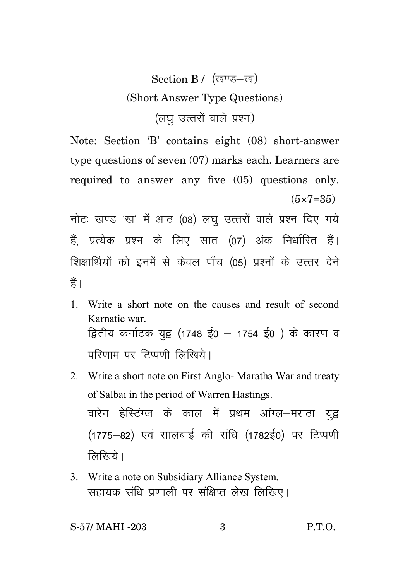# Section B / (खण्ड-ख) (Short Answer Type Questions) (लघ उत्तरों वाले प्रश्न)

Note: Section 'B' contains eight (08) short-answer type questions of seven (07) marks each. Learners are required to answer any five (05) questions only.  $(5 \times 7 = 35)$ 

नोटः खण्ड 'ख' में आठ (08) लघु उत्तरों वाले प्रश्न दिए गये हैं. प्रत्येक प्रश्न के लिए सात (07) अंक निर्धारित हैं। शिक्षार्थियों को इनमें से केवल पाँच (05) प्रश्नों के उत्तर देने हैं।

- 1. Write a short note on the causes and result of second Karnatic war. द्वितीय कर्नाटक युद्व (1748 ई0 – 1754 ई0) के कारण व परिणाम पर टिप्पणी लिखिये।
- 2. Write a short note on First Anglo- Maratha War and treaty of Salbai in the period of Warren Hastings. वारेन हेस्टिंग्ज के काल में प्रथम आंग्ल–मराठा यद्व (1775–82) एवं सालबाई की संधि (1782ई0) पर टिप्पणी लिखिये।
- 3. Write a note on Subsidiary Alliance System. सहायक संधि प्रणाली पर संक्षिप्त लेख लिखिए।

S-57/ MAHI -203 3 P.T.O.